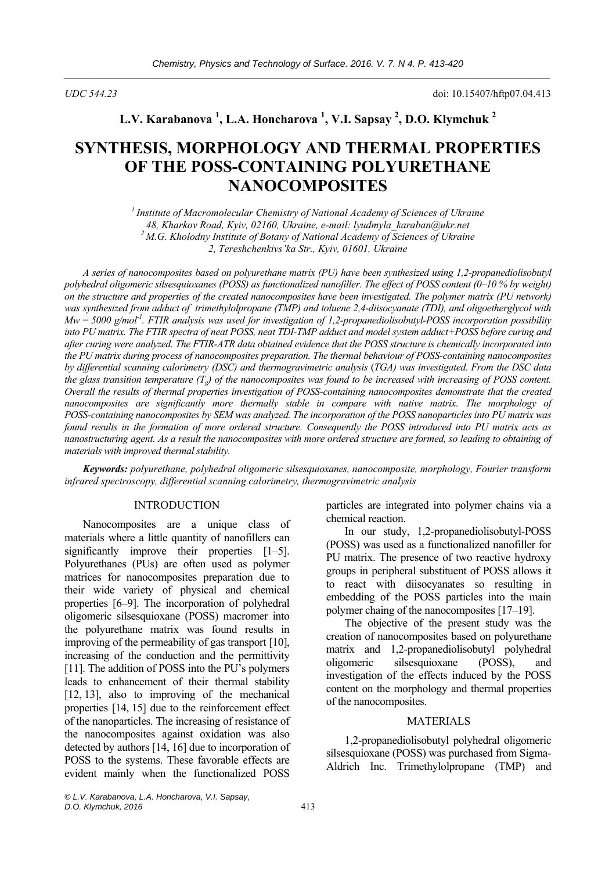# **L.V. Karabanova 1 , L.A. Honcharova 1 , V.I. Sapsay <sup>2</sup> , D.O. Klymchuk 2**

# **SYNTHESIS, MORPHOLOGY AND THERMAL PROPERTIES OF THE POSS-CONTAINING POLYURETHANE NANOCOMPOSITES**

*1 Institute of Macromolecular Chemistry of National Academy of Sciences of Ukraine 48, Kharkov Road, Kyiv, 02160, Ukraine, e-mail: lyudmyla\_karaban@ukr.net 2 M.G. Kholodny Institute of Botany of National Academy of Sciences of Ukraine 2, Tereshchenkivs'ka Str., Kyiv, 01601, Ukraine* 

*A series of nanocomposites based on polyurethane matrix (PU) have been synthesized using 1,2-propanediolisobutyl polyhedral oligomeric silsesquioxanes (POSS) as functionalized nanofiller. The effect of POSS content (0–10 % by weight) on the structure and properties of the created nanocomposites have been investigated. The polymer matrix (PU network) was synthesized from adduct of trimethylolpropane (TMP) and toluene 2,4-diisocyanate (TDI), and oligoetherglycol with Mw = 5000 g/mol-1. FTIR analysis was used for investigation of 1,2-propanediolisobutyl-POSS incorporation possibility into PU matrix. The FTIR spectra of neat POSS, neat TDI-TMP adduct and model system adduct+POSS before curing and after curing were analyzed. The FTIR-ATR data obtained evidence that the POSS structure is chemically incorporated into the PU matrix during process of nanocomposites preparation. The thermal behaviour of POSS-containing nanocomposites by differential scanning calorimetry (DSC) and thermogravimetric analysis* (*TGA) was investigated. From the DSC data the glass transition temperature (T<sub>e</sub>) of the nanocomposites was found to be increased with increasing of POSS content. Overall the results of thermal properties investigation of POSS-containing nanocomposites demonstrate that the created nanocomposites are significantly more thermally stable in compare with native matrix*. *The morphology of POSS-containing nanocomposites by SEM was analyzed. The incorporation of the POSS nanoparticles into PU matrix was found results in the formation of more ordered structure. Consequently the POSS introduced into PU matrix acts as nanostructuring agent. As a result the nanocomposites with more ordered structure are formed, so leading to obtaining of materials with improved thermal stability.* 

*Keywords: polyurethane, polyhedral oligomeric silsesquioxanes, nanocomposite, morphology, Fourier transform infrared spectroscopy, differential scanning calorimetry, thermogravimetric analysis*

#### INTRODUCTION

Nanocomposites are a unique class of materials where a little quantity of nanofillers can significantly improve their properties [1–5]. Polyurethanes (PUs) are often used as polymer matrices for nanocomposites preparation due to their wide variety of physical and chemical properties [6–9]. The incorporation of polyhedral oligomeric silsesquioxane (POSS) macromer into the polyurethane matrix was found results in improving of the permeability of gas transport [10], increasing of the conduction and the permittivity [11]. The addition of POSS into the PU's polymers leads to enhancement of their thermal stability [12, 13], also to improving of the mechanical properties [14, 15] due to the reinforcement effect of the nanoparticles. The increasing of resistance of the nanocomposites against oxidation was also detected by authors [14, 16] due to incorporation of POSS to the systems. These favorable effects are evident mainly when the functionalized POSS

particles are integrated into polymer chains via a chemical reaction.

In our study, 1,2-propanediolisobutyl-POSS (POSS) was used as a functionalized nanofiller for PU matrix. The presence of two reactive hydroxy groups in peripheral substituent of POSS allows it to react with diisocyanates so resulting in embedding of the POSS particles into the main polymer chaing of the nanocomposites [17–19].

The objective of the present study was the creation of nanocomposites based on polyurethane matrix and 1,2-propanediolisobutyl polyhedral oligomeric silsesquioxane (POSS), and investigation of the effects induced by the POSS content on the morphology and thermal properties of the nanocomposites.

#### **MATERIALS**

1,2-propanediolisobutyl polyhedral oligomeric silsesquioxane (POSS) was purchased from Sigma-Aldrich Inc. Trimethylolpropane (TMP) and

*<sup>©</sup> L.V. Karabanova, L.A. Honcharova, V.I. Sapsay, D.O. Klymchuk, 2016* 413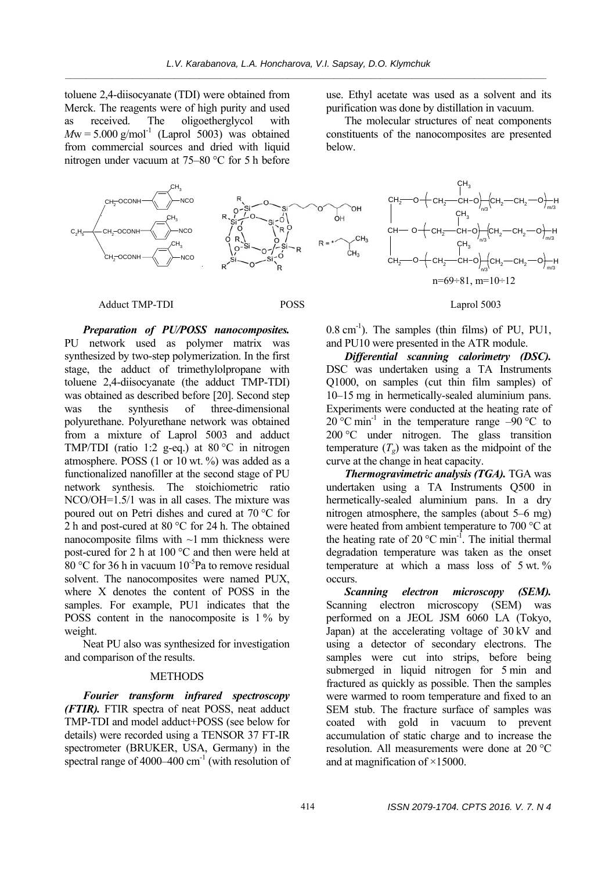toluene 2,4-diisocyanate (TDI) were obtained from Merck. The reagents were of high purity and used as received. The oligoetherglycol with  $Mw = 5.000$  g/mol<sup>-1</sup> (Laprol 5003) was obtained from commercial sources and dried with liquid nitrogen under vacuum at 75–80 °C for 5 h before

use. Ethyl acetate was used as a solvent and its purification was done by distillation in vacuum.

The molecular structures of neat components constituents of the nanocomposites are presented below.



#### Adduct TMP-TDI POSS Depression and the post of the contract of the Laprol 5003

*Preparation of PU/POSS nanocomposites.* PU network used as polymer matrix was synthesized by two-step polymerization. In the first stage, the adduct of trimethylolpropane with toluene 2,4-diisocyanate (the adduct TMP-TDI) was obtained as described before [20]. Second step was the synthesis of three-dimensional polyurethane. Polyurethane network was obtained from a mixture of Laprol 5003 and adduct TMP/TDI (ratio 1:2 g-eq.) at  $80^{\circ}$ C in nitrogen atmosphere. POSS (1 or 10 wt. %) was added as a functionalized nanofiller at the second stage of PU network synthesis. The stoichiometric ratio NCO/OH=1.5/1 was in all cases. The mixture was poured out on Petri dishes and cured at 70 °C for 2 h and post-cured at 80 °C for 24 h. The obtained nanocomposite films with  $\sim$ 1 mm thickness were post-cured for 2 h at 100 °C and then were held at 80 °C for 36 h in vacuum  $10^{-5}$ Pa to remove residual solvent. The nanocomposites were named PUX, where X denotes the content of POSS in the samples. For example, PU1 indicates that the POSS content in the nanocomposite is 1 % by weight.

Neat PU also was synthesized for investigation and comparison of the results.

#### **METHODS**

*Fourier transform infrared spectroscopy (FTIR).* FTIR spectra of neat POSS, neat adduct TMP-TDI and model adduct+POSS (see below for details) were recorded using a TENSOR 37 FT-IR spectrometer (BRUKER, USA, Germany) in the spectral range of  $4000-400$  cm<sup>-1</sup> (with resolution of

 $0.8$  cm<sup>-1</sup>). The samples (thin films) of PU, PU1, and PU10 were presented in the ATR module.

*Differential scanning calorimetry (DSC).*  DSC was undertaken using a TA Instruments Q1000, on samples (cut thin film samples) of 10–15 mg in hermetically-sealed aluminium pans. Experiments were conducted at the heating rate of 20 °C min<sup>-1</sup> in the temperature range  $-90$  °C to 200 °C under nitrogen. The glass transition temperature  $(T_g)$  was taken as the midpoint of the curve at the change in heat capacity.

*Thermogravimetric analysis (TGA).* TGA was undertaken using a TA Instruments Q500 in hermetically-sealed aluminium pans. In a dry nitrogen atmosphere, the samples (about 5–6 mg) were heated from ambient temperature to 700 °C at the heating rate of 20  $^{\circ}$ C min<sup>-1</sup>. The initial thermal degradation temperature was taken as the onset temperature at which a mass loss of 5 wt. % occurs.

*Scanning electron microscopy (SEM).* Scanning electron microscopy (SEM) was performed on a JEOL JSM 6060 LA (Tokyo, Japan) at the accelerating voltage of 30 kV and using a detector of secondary electrons. The samples were cut into strips, before being submerged in liquid nitrogen for 5 min and fractured as quickly as possible. Then the samples were warmed to room temperature and fixed to an SEM stub. The fracture surface of samples was coated with gold in vacuum to prevent accumulation of static charge and to increase the resolution. All measurements were done at 20 °C and at magnification of ×15000.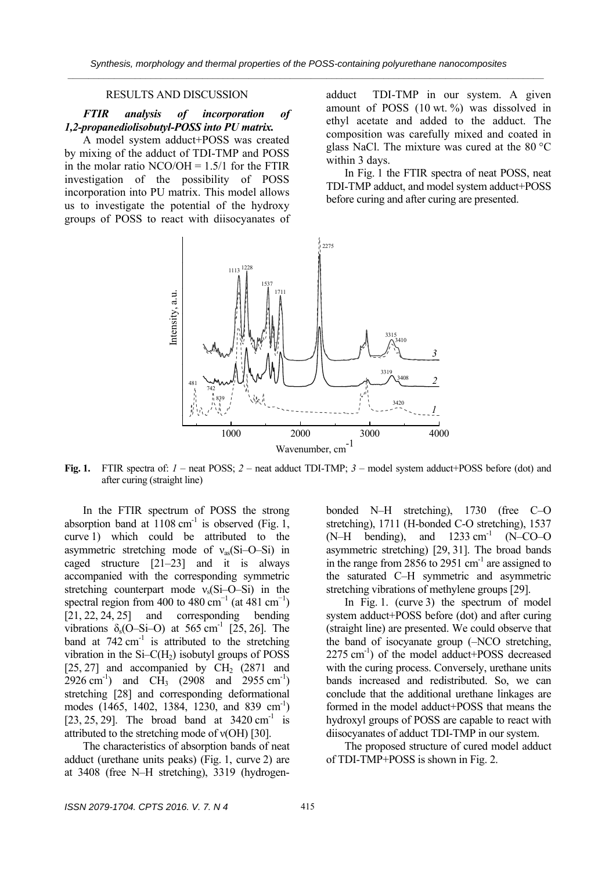#### RESULTS AND DISCUSSION

### *FTIR analysis of incorporation of 1,2-propanediolisobutyl-POSS into PU matrix.*

A model system adduct+POSS was created by mixing of the adduct of TDI-TMP and POSS in the molar ratio  $NCO/OH = 1.5/1$  for the FTIR investigation of the possibility of POSS incorporation into PU matrix. This model allows us to investigate the potential of the hydroxy groups of POSS to react with diisocyanates of adduct TDI-TMP in our system. A given amount of POSS (10 wt. %) was dissolved in ethyl acetate and added to the adduct. The composition was carefully mixed and coated in glass NaCl. The mixture was cured at the 80 °C within 3 days.

In Fig. 1 the FTIR spectra of neat POSS, neat TDI-TMP adduct, and model system adduct+POSS before curing and after curing are presented.



**Fig. 1.** FTIR spectra of: *1* – neat POSS; *2* – neat adduct TDI-TMP; *3* – model system adduct+POSS before (dot) and after curing (straight line)

In the FTIR spectrum of POSS the strong absorption band at  $1108 \text{ cm}^{-1}$  is observed (Fig. 1, curve 1) which could be attributed to the asymmetric stretching mode of  $v_{\text{as}}(Si-O-Si)$  in caged structure [21–23] and it is always accompanied with the corresponding symmetric stretching counterpart mode  $v_s(Si-O-Si)$  in the spectral region from 400 to 480 cm<sup>-1</sup> (at 481 cm<sup>-1</sup>) [21, 22, 24, 25] and corresponding bending vibrations  $\delta_s$ (O–Si–O) at 565 cm<sup>-1</sup> [25, 26]. The band at  $742 \text{ cm}^{-1}$  is attributed to the stretching vibration in the  $Si-C(H<sub>2</sub>)$  isobutyl groups of POSS  $[25, 27]$  and accompanied by CH<sub>2</sub>  $(2871 \text{ and }$ 2926 cm<sup>-1</sup>) and CH<sub>3</sub> (2908 and 2955 cm<sup>-1</sup>) stretching [28] and corresponding deformational modes (1465, 1402, 1384, 1230, and 839 cm<sup>-1</sup>) [23, 25, 29]. The broad band at  $3420 \text{ cm}^{-1}$  is attributed to the stretching mode of ν(OH) [30].

The characteristics of absorption bands of neat adduct (urethane units peaks) (Fig. 1, curve 2) are at 3408 (free N–H stretching), 3319 (hydrogenbonded N–H stretching), 1730 (free C–O stretching), 1711 (H-bonded C-O stretching), 1537  $(N-H$  bending), and 1233 cm<sup>-1</sup> (N–CO–O asymmetric stretching) [29, 31]. The broad bands in the range from 2856 to 2951 cm<sup>-1</sup> are assigned to the saturated C–H symmetric and asymmetric stretching vibrations of methylene groups [29].

In Fig. 1. (curve 3) the spectrum of model system adduct+POSS before (dot) and after curing (straight line) are presented. We could observe that the band of isocyanate group (–NCO stretching,  $2275$  cm<sup>-1</sup>) of the model adduct+POSS decreased with the curing process. Conversely, urethane units bands increased and redistributed. So, we can conclude that the additional urethane linkages are formed in the model adduct+POSS that means the hydroxyl groups of POSS are capable to react with diisocyanates of adduct TDI-TMP in our system.

The proposed structure of cured model adduct of TDI-TMP+POSS is shown in Fig. 2.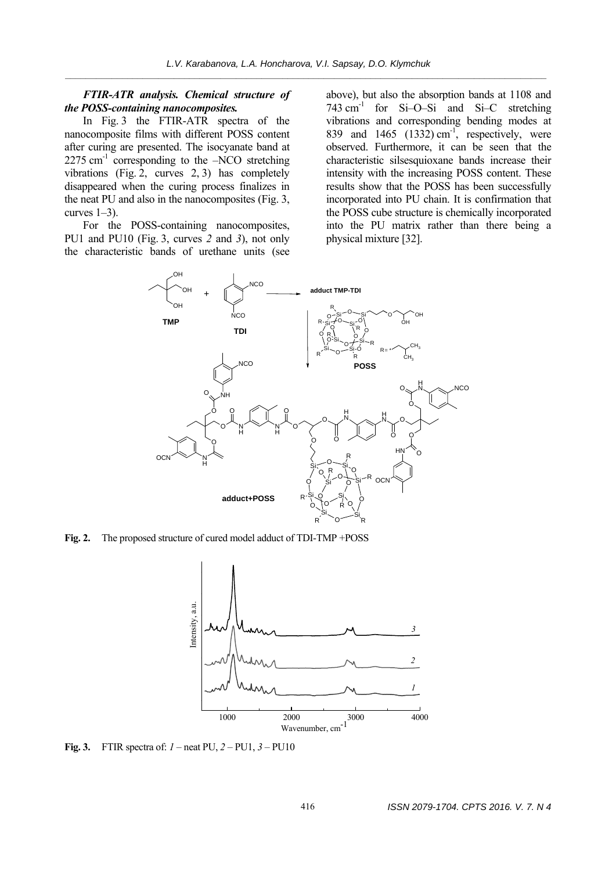# *FTIR-ATR analysis. Chemical structure of the POSS-containing nanocomposites.*

In Fig. 3 the FTIR-ATR spectra of the nanocomposite films with different POSS content after curing are presented. The isocyanate band at  $2275 \text{ cm}^{-1}$  corresponding to the  $-NCO$  stretching vibrations (Fig. 2, curves 2, 3) has completely disappeared when the curing process finalizes in the neat PU and also in the nanocomposites (Fig. 3, curves  $1-3$ ).

For the POSS-containing nanocomposites, PU1 and PU10 (Fig. 3, curves *2* and *3*), not only the characteristic bands of urethane units (see above), but also the absorption bands at 1108 and 743 cm<sup>-1</sup> for Si-O–Si and Si-C stretching vibrations and corresponding bending modes at 839 and  $1465$  (1332) cm<sup>-1</sup>, respectively, were observed. Furthermore, it can be seen that the characteristic silsesquioxane bands increase their intensity with the increasing POSS content. These results show that the POSS has been successfully incorporated into PU chain. It is confirmation that the POSS cube structure is chemically incorporated into the PU matrix rather than there being a physical mixture [32].



**Fig. 2.** The proposed structure of cured model adduct of TDI-TMP +POSS



**Fig. 3.** FTIR spectra of: *1* – neat PU, *2* – PU1, *3* – PU10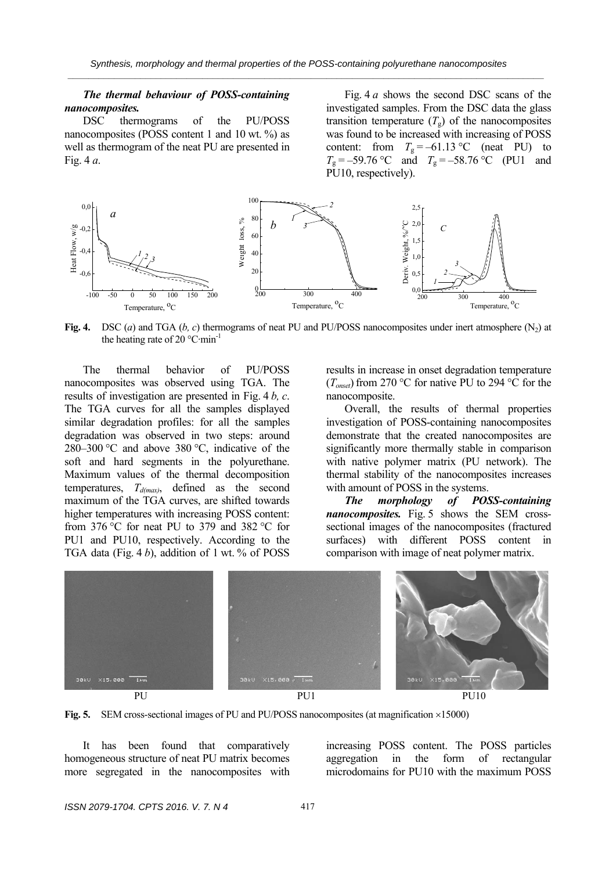#### *The thermal behaviour of POSS-containing nanocomposites.*

DSC thermograms of the PU/POSS nanocomposites (POSS content 1 and 10 wt. %) as well as thermogram of the neat PU are presented in Fig. 4 *a*.

Fig. 4 *a* shows the second DSC scans of the investigated samples. From the DSC data the glass transition temperature  $(T_g)$  of the nanocomposites was found to be increased with increasing of POSS content: from  $T_g = -61.13 \text{ °C}$  (neat PU) to  $T_g = -59.76 \text{ °C}$  and  $T_g = -58.76 \text{ °C}$  (PU1 and PU10, respectively).



**Fig. 4.** DSC (*a*) and TGA (*b, c*) thermograms of neat PU and PU/POSS nanocomposites under inert atmosphere (N<sub>2</sub>) at the heating rate of 20  $^{\circ}$ C·min<sup>-1</sup>

The thermal behavior of PU/POSS nanocomposites was observed using TGA. The results of investigation are presented in Fig. 4 *b, c*. The TGA curves for all the samples displayed similar degradation profiles: for all the samples degradation was observed in two steps: around 280–300 °С and above 380 °С, indicative of the soft and hard segments in the polyurethane. Maximum values of the thermal decomposition temperatures, *Тd(max)*, defined as the second maximum of the TGA curves, are shifted towards higher temperatures with increasing POSS content: from 376 °C for neat PU to 379 and 382 °C for PU1 and PU10, respectively. According to the TGA data (Fig. 4 *b*), addition of 1 wt. % of POSS

results in increase in onset degradation temperature  $(T<sub>onset</sub>)$  from 270 °C for native PU to 294 °C for the nanocomposite.

Overall, the results of thermal properties investigation of POSS-containing nanocomposites demonstrate that the created nanocomposites are significantly more thermally stable in comparison with native polymer matrix (PU network). The thermal stability of the nanocomposites increases with amount of POSS in the systems.

*The morphology of POSS-containing nanocomposites.* Fig. 5 shows the SEM crosssectional images of the nanocomposites (fractured surfaces) with different POSS content in comparison with image of neat polymer matrix.



**Fig. 5.** SEM cross-sectional images of PU and PU/POSS nanocomposites (at magnification  $\times$ 15000)

It has been found that comparatively homogeneous structure of neat PU matrix becomes more segregated in the nanocomposites with increasing POSS content. The POSS particles aggregation in the form of rectangular microdomains for PU10 with the maximum POSS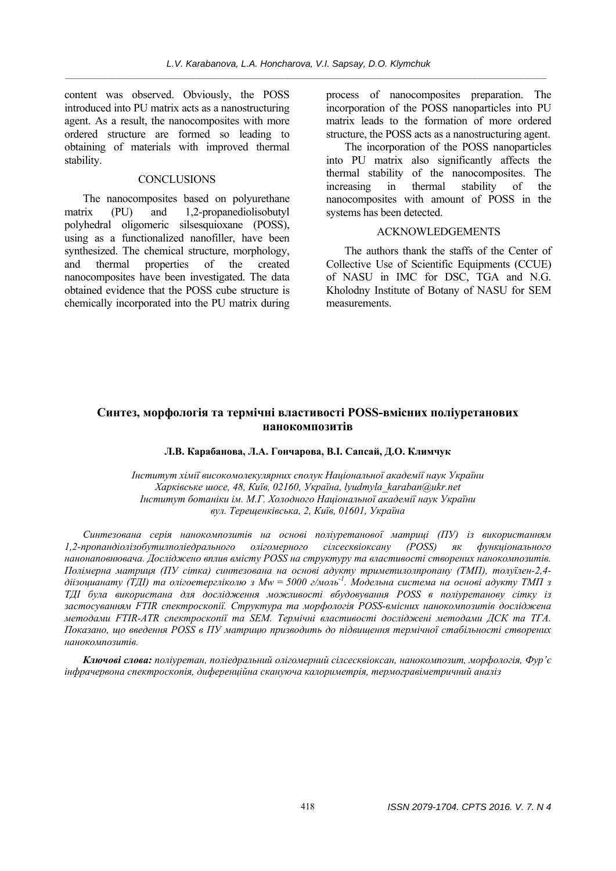content was observed. Obviously, the POSS introduced into PU matrix acts as a nanostructuring agent. As a result, the nanocomposites with more ordered structure are formed so leading to obtaining of materials with improved thermal stability.

# **CONCLUSIONS**

The nanocomposites based on polyurethane matrix (PU) and 1,2-propanediolisobutyl polyhedral oligomeric silsesquioxane (POSS), using as a functionalized nanofiller, have been synthesized. The chemical structure, morphology, and thermal properties of the created nanocomposites have been investigated. The data obtained evidence that the POSS cube structure is chemically incorporated into the PU matrix during process of nanocomposites preparation. The incorporation of the POSS nanoparticles into PU matrix leads to the formation of more ordered structure, the POSS acts as a nanostructuring agent.

The incorporation of the POSS nanoparticles into PU matrix also significantly affects the thermal stability of the nanocomposites. The increasing in thermal stability of the nanocomposites with amount of POSS in the systems has been detected.

# ACKNOWLEDGEMENTS

The authors thank the staffs of the Center of Collective Use of Scientific Equipments (CCUE) of NASU in IMC for DSC, TGA and N.G. Kholodny Institute of Botany of NASU for SEM measurements.

# **Синтез, морфологія та термічні властивості POSS-вмісних поліуретанових нанокомпозитів**

#### **Л.В. Карабанова, Л.А. Гончарова, В.І. Сапсай, Д.О. Климчук**

*Інститут хімії високомолекулярних сполук Національної академії наук України Харківське шосе, 48, Київ, 02160, Україна, lyudmyla\_karaban@ukr.net Інститут ботаніки ім. M.Г. Холодного Національної академії наук України вул. Терещенківська, 2, Київ, 01601, Україна*

*Синтезована серія нанокомпозитів на основі поліуретанової матриці (ПУ) із використанням 1,2-пропандіолізобутилполіедрального олігомерного сілсесквіоксану (POSS) як функціонального нанонаповнювача. Досліджено вплив вмісту POSS на структуру та властивості створених нанокомпозитів. Полімерна матриця (ПУ сітка) синтезована на основі адукту триметилолпропану (ТМП), толуїлен-2,4* діїзоцианату (ТДІ) та олігоетергліколю з Мw = 5000 г/моль<sup>-1</sup>. Модельна система на основі адукту ТМП з *ТДІ була використана для дослідження можливості вбудовування POSS в поліуретанову сітку із застосуванням FTIR спектроскопії. Структура та морфологія POSS-вмісних нанокомпозитів досліджена методами FTIR-ATR спектроскопії та SEM. Термічні властивості досліджені методами ДСК та ТГА. Показано, що введення POSS в ПУ матрицю призводить до підвищення термічної стабільності створених нанокомпозитів.* 

*Ключові слова: поліуретан, поліедральний олігомерний сілсесквіоксан, нанокомпозит, морфологія, Фур'є інфрачервона спектроскопія, диференційна скануюча калориметрія, термогравіметричний аналіз*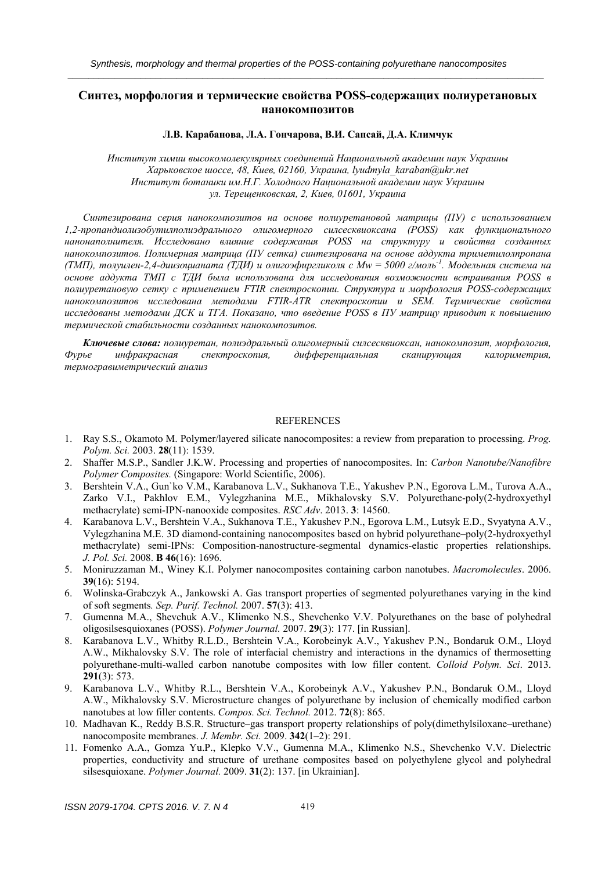# **Синтез, морфология и термические свойства POSS-содержащих полиуретановых нанокомпозитов**

*\_\_\_\_\_\_\_\_\_\_\_\_\_\_\_\_\_\_\_\_\_\_\_\_\_\_\_\_\_\_\_\_\_\_\_\_\_\_\_\_\_\_\_\_\_\_\_\_\_\_\_\_\_\_\_\_\_\_\_\_\_\_\_\_\_\_\_\_\_\_\_\_\_\_\_\_\_\_\_\_\_\_\_\_\_\_\_\_\_\_\_\_* 

**Л.В. Карабанова, Л.А. Гончарова, B.И. Сапсай, Д.А. Климчук**

*Институт химии высокомолекулярных соединений Национальной академии наук Украины Харьковское шоссе, 48, Киев, 02160, Украина, lyudmyla\_karaban@ukr.net Институт ботаники им.Н.Г. Холодного Национальной академии наук Украины ул. Терещенковская, 2, Киев, 01601, Украина*

*Синтезирована серия нанокомпозитов на основе полиуретановой матрицы (ПУ) с использованием 1,2-пропандиолизобутилполиэдрального олигомерного силсесквиоксана (POSS) как функционального нанонаполнителя. Исследовано влияние содержания POSS на структуру и свойства созданных нанокомпозитов. Полимерная матрица (ПУ сетка) синтезирована на основе аддукта триметилолпропана* (ТМП), толуилен-2,4-диизоцианата (ТДИ) и олигоэфиргликоля с  $Mw = 5000$  г/моль<sup>-1</sup>. Модельная система на *основе аддукта ТМП с ТДИ была использована для исследования возможности встраивания POSS в полиуретановую сетку с применением FTIR спектроскопии. Структура и морфология POSS-содержащих нанокомпозитов исследована методами FTIR-ATR спектроскопии и SEM. Термические свойства исследованы методами ДСК и ТГА. Показано, что введение POSS в ПУ матрицу приводит к повышению термической стабильности созданных нанокомпозитов.* 

*Ключевые слова: полиуретан, полиэдральный олигомерный силсесквиоксан, нанокомпозит, морфология, Фурье инфракрасная спектроскопия, дифференциальная сканирующая калориметрия, термогравиметрический анализ*

#### REFERENCES

- 1. Ray S.S., Okamoto M. Polymer/layered silicate nanocomposites: a review from preparation to processing. *Prog. Polym. Sci.* 2003. **28**(11): 1539.
- 2. Shaffer M.S.P., Sandler J.K.W. Processing and properties of nanocomposites. In: *Carbon Nanotube/Nanofibre Polymer Composites.* (Singapore: World Scientific, 2006).
- 3. Bershtein V.A., Gun`ko V.M., Karabanova L.V., Sukhanova T.E., Yakushev P.N., Egorova L.M., Turova A.A., Zarko V.I., Pakhlov E.M., Vylegzhanina M.E., Mikhalovsky S.V. Polyurethane-poly(2-hydroxyethyl methacrylate) semi-IPN-nanooxide composites. *RSC Adv*. 2013. **3**: 14560.
- 4. Karabanova L.V., Bershtein V.A., Sukhanova T.E., Yakushev P.N., Egorova L.M., Lutsyk E.D., Svyatyna A.V., Vylegzhanina M.E. 3D diamond-containing nanocomposites based on hybrid polyurethane–poly(2-hydroxyethyl methacrylate) semi-IPNs: Composition-nanostructure-segmental dynamics-elastic properties relationships. *J. Pol. Sci.* 2008. **B 46**(16): 1696.
- 5. Moniruzzaman M., Winey K.I. Polymer nanocomposites containing carbon nanotubes. *Macromolecules*. 2006. **39**(16): 5194.
- 6. Wolinska-Grabczyk A., Jankowski A. Gas transport properties of segmented polyurethanes varying in the kind of soft segments*. Sep. Purif. Technol.* 2007. **57**(3): 413.
- 7. Gumenna M.A., Shevchuk A.V., Klimenko N.S., Shevchenko V.V. Polyurethanes on the base of polyhedral oligosilsesquioxanes (POSS). *Polymer Journal.* 2007. **29**(3): 177. [in Russian].
- 8. Karabanova L.V., Whitby R.L.D., Bershtein V.A., Korobeinyk A.V., Yakushev P.N., Bondaruk O.M., Lloyd A.W., Mikhalovsky S.V. The role of interfacial chemistry and interactions in the dynamics of thermosetting polyurethane-multi-walled carbon nanotube composites with low filler content. *Colloid Polym. Sci*. 2013. **291**(3): 573.
- 9. Karabanova L.V., Whitby R.L., Bershtein V.A., Korobeinyk A.V., Yakushev P.N., Bondaruk O.M., Lloyd A.W., Mikhalovsky S.V. Microstructure changes of polyurethane by inclusion of chemically modified carbon nanotubes at low filler contents. *Compos. Sci. Technol.* 2012. **72**(8): 865.
- 10. Madhavan K., Reddy B.S.R. Structure–gas transport property relationships of poly(dimethylsiloxane–urethane) nanocomposite membranes. *J. Membr. Sci.* 2009. **342**(1–2): 291.
- 11. Fomenko A.A., Gomza Yu.P., Klepko V.V., Gumenna M.A., Klimenko N.S., Shevchenko V.V. Dielectric properties, conductivity and structure of urethane composites based on polyethylene glycol and polyhedral silsesquioxane. *Polymer Journal.* 2009. **31**(2): 137. [in Ukrainian].